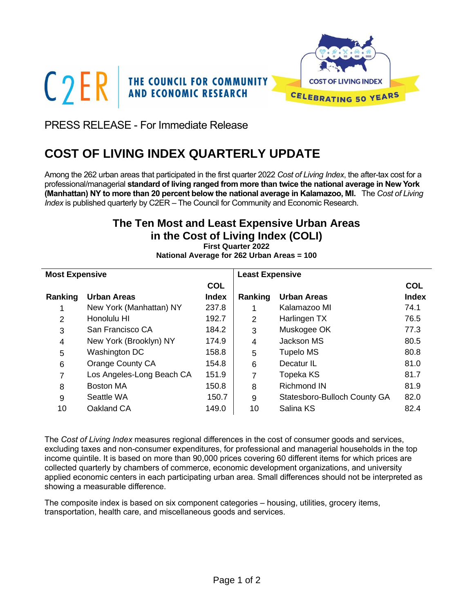



PRESS RELEASE - For Immediate Release

# **COST OF LIVING INDEX QUARTERLY UPDATE**

Among the 262 urban areas that participated in the first quarter 2022 *Cost of Living Index*, the after-tax cost for a professional/managerial **standard of living ranged from more than twice the national average in New York (Manhattan) NY to more than 20 percent below the national average in Kalamazoo, MI.** The *Cost of Living Index* is published quarterly by C2ER – The Council for Community and Economic Research.

# **The Ten Most and Least Expensive Urban Areas in the Cost of Living Index (COLI)**

**First Quarter 2022 National Average for 262 Urban Areas = 100**

| <b>Most Expensive</b> |                           |              | <b>Least Expensive</b> |                              |              |  |
|-----------------------|---------------------------|--------------|------------------------|------------------------------|--------------|--|
|                       |                           | <b>COL</b>   |                        |                              | <b>COL</b>   |  |
| Ranking               | <b>Urban Areas</b>        | <b>Index</b> | Ranking                | <b>Urban Areas</b>           | <b>Index</b> |  |
|                       | New York (Manhattan) NY   | 237.8        |                        | Kalamazoo MI                 | 74.1         |  |
| 2                     | Honolulu HI               | 192.7        | 2                      | Harlingen TX                 | 76.5         |  |
| 3                     | San Francisco CA          | 184.2        | 3                      | Muskogee OK                  | 77.3         |  |
| 4                     | New York (Brooklyn) NY    | 174.9        | 4                      | Jackson MS                   | 80.5         |  |
| 5                     | Washington DC             | 158.8        | 5                      | <b>Tupelo MS</b>             | 80.8         |  |
| 6                     | Orange County CA          | 154.8        | 6                      | Decatur IL                   | 81.0         |  |
| 7                     | Los Angeles-Long Beach CA | 151.9        | 7                      | Topeka KS                    | 81.7         |  |
| 8                     | <b>Boston MA</b>          | 150.8        | 8                      | <b>Richmond IN</b>           | 81.9         |  |
| 9                     | Seattle WA                | 150.7        | 9                      | Statesboro-Bulloch County GA | 82.0         |  |
| 10                    | Oakland CA                | 149.0        | 10                     | Salina KS                    | 82.4         |  |

The *Cost of Living Index* measures regional differences in the cost of consumer goods and services, excluding taxes and non-consumer expenditures, for professional and managerial households in the top income quintile. It is based on more than 90,000 prices covering 60 different items for which prices are collected quarterly by chambers of commerce, economic development organizations, and university applied economic centers in each participating urban area. Small differences should not be interpreted as showing a measurable difference.

The composite index is based on six component categories – housing, utilities, grocery items, transportation, health care, and miscellaneous goods and services.